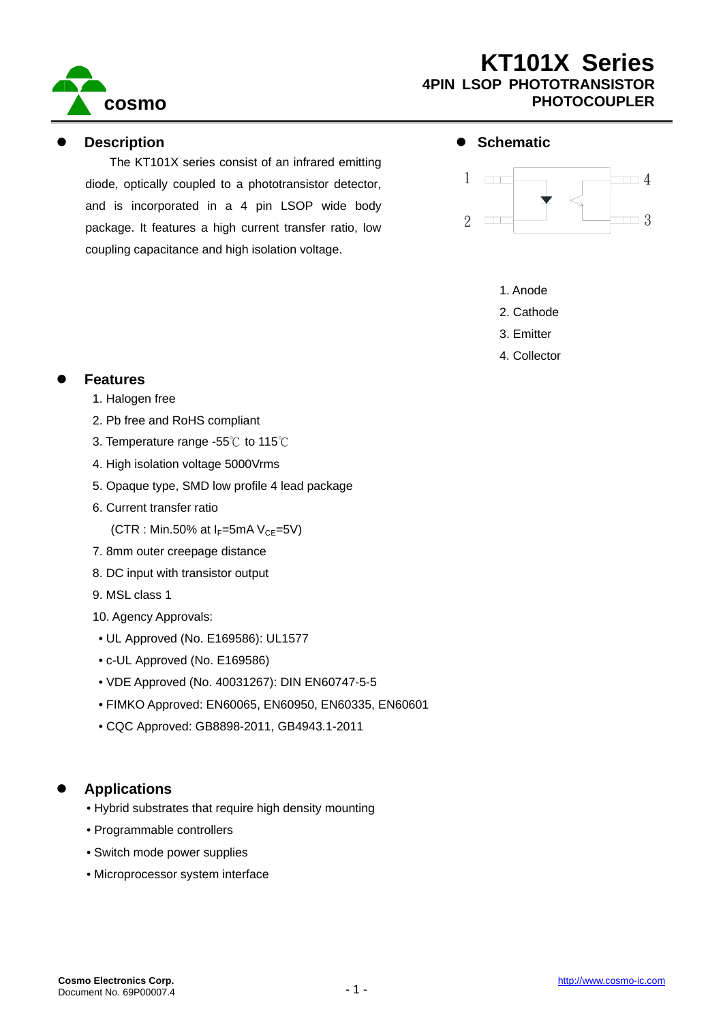

#### **Description**

The KT101X series consist of an infrared emitting diode, optically coupled to a phototransistor detector, and is incorporated in a 4 pin LSOP wide body package. It features a high current transfer ratio, low coupling capacitance and high isolation voltage.

#### $\bullet$  Schematic



- 1. Anode
- 2. Cathode
- 3. Emitter
- 4. Collector

#### **Features**

- 1. Halogen free
- 2. Pb free and RoHS compliant
- 3. Temperature range -55℃ to 115℃
- 4. High isolation voltage 5000Vrms
- 5. Opaque type, SMD low profile 4 lead package
- 6. Current transfer ratio
	- (CTR : Min.50% at  $I_F$ =5mA V<sub>CE</sub>=5V)
- 7. 8mm outer creepage distance
- 8. DC input with transistor output
- 9. MSL class 1
- 10. Agency Approvals:
- UL Approved (No. E169586): UL1577
- c-UL Approved (No. E169586)
- VDE Approved (No. 40031267): DIN EN60747-5-5
- FIMKO Approved: EN60065, EN60950, EN60335, EN60601
- CQC Approved: GB8898-2011, GB4943.1-2011

## z **Applications**

- Hybrid substrates that require high density mounting
- Programmable controllers
- Switch mode power supplies
- Microprocessor system interface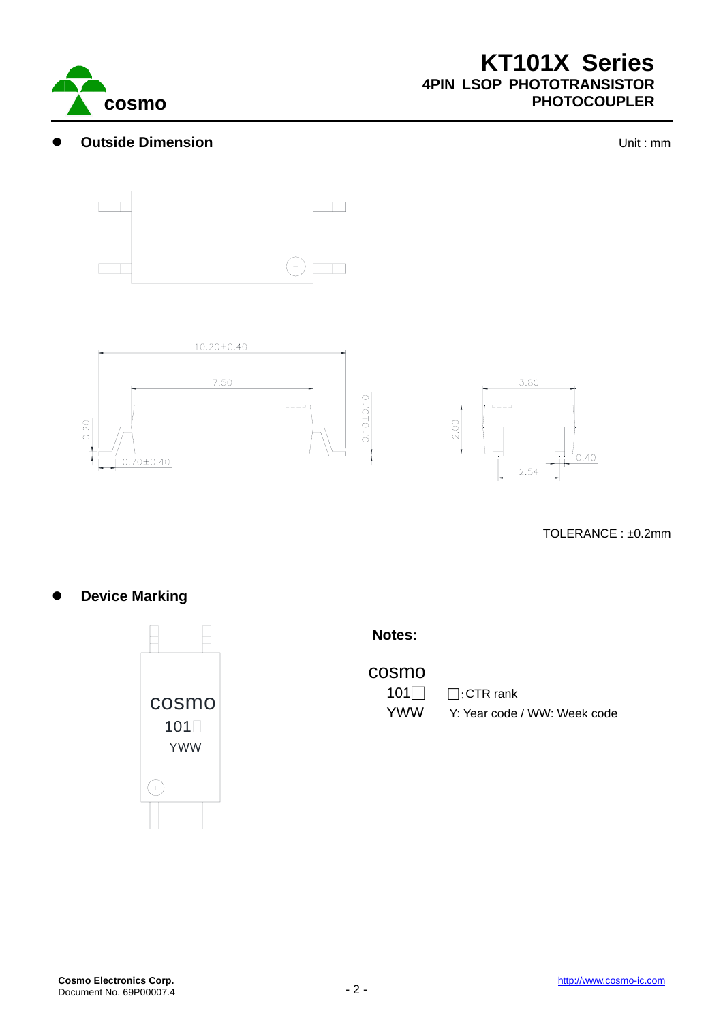

#### **Outside Dimension Outside Dimension**







TOLERANCE : ±0.2mm

**Device Marking** 



**Notes:** 

cosmo

101□ □:CTR rank

**COSMO** COSMO TOTAL TELEVISION TO THE COSMO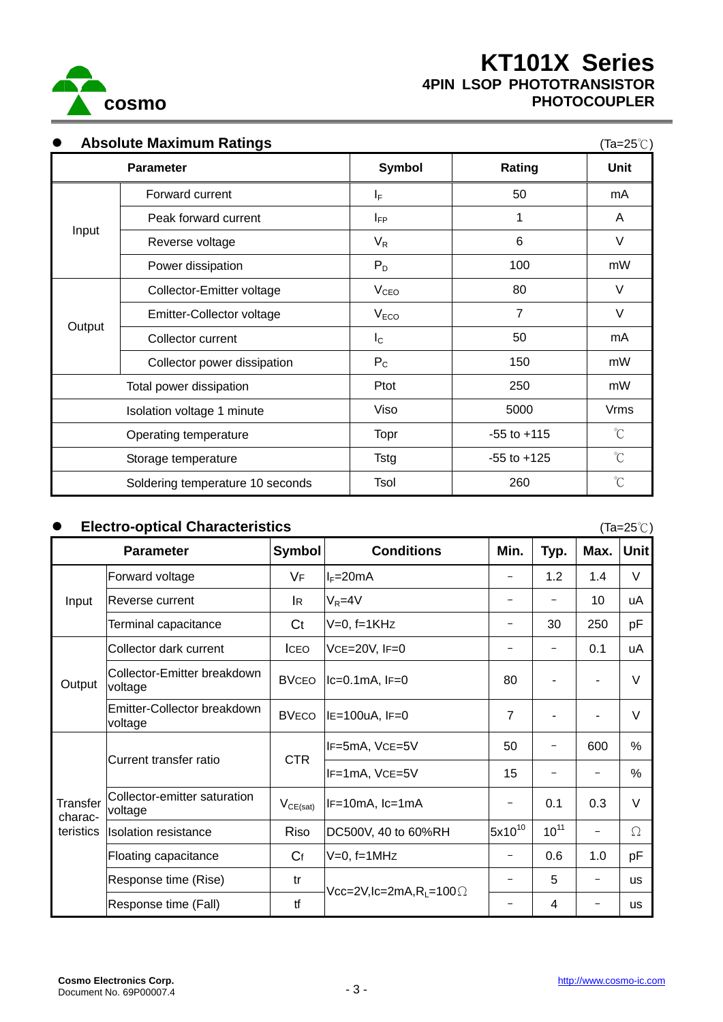

<sup>z</sup> **Absolute Maximum Ratings** (Ta=25℃)

|                       | <b>Parameter</b>                 | Symbol           | Rating          | $(1 - 1)$<br>Unit    |
|-----------------------|----------------------------------|------------------|-----------------|----------------------|
| Input                 | Forward current                  | $I_F$            | 50              | mA                   |
|                       | Peak forward current             | $I_{FP}$         | 1               | A                    |
|                       | Reverse voltage                  | $V_R$            | 6               | V                    |
|                       | Power dissipation                | $P_D$            | 100             | mW                   |
| Output                | Collector-Emitter voltage        | V <sub>CEO</sub> | 80              | $\vee$               |
|                       | Emitter-Collector voltage        | V <sub>ECO</sub> | $\overline{7}$  | V                    |
|                       | Collector current                | $I_{\rm C}$      | 50              | mA                   |
|                       | Collector power dissipation      | $P_{C}$          | 150             | mW                   |
|                       | Total power dissipation          | Ptot             | 250             | mW                   |
|                       | Isolation voltage 1 minute       | Viso             | 5000            | <b>Vrms</b>          |
| Operating temperature |                                  | Topr             | $-55$ to $+115$ | $\mathrm{C}^{\circ}$ |
| Storage temperature   |                                  | <b>Tstg</b>      | $-55$ to $+125$ | $^{\circ}$ C         |
|                       | Soldering temperature 10 seconds | Tsol             | 260             | $\mathrm{C}^{\circ}$ |

## z **Electro-optical Characteristics** (Ta=25℃)

|                                         | <b>Parameter</b>                        | <b>Symbol</b>  | <b>Conditions</b>                                                                                                  | Min.                     | Typ.      | Max.                     | <b>Unit</b> |
|-----------------------------------------|-----------------------------------------|----------------|--------------------------------------------------------------------------------------------------------------------|--------------------------|-----------|--------------------------|-------------|
| Input                                   | Forward voltage                         | <b>VF</b>      | $I_F=20mA$                                                                                                         | $\overline{\phantom{m}}$ | 1.2       | 1.4                      | V           |
|                                         | Reverse current                         | lR.            | $V_R = 4V$                                                                                                         |                          |           | 10 <sup>1</sup>          | uA          |
|                                         | Terminal capacitance                    | C <sub>t</sub> | $V=0$ , $f=1KHz$                                                                                                   |                          | 30        | 250                      | pF          |
| Output                                  | Collector dark current                  | <b>ICEO</b>    | VCE=20V, IF=0                                                                                                      | $\overline{\phantom{0}}$ |           | 0.1                      | uA          |
|                                         | Collector-Emitter breakdown<br>voltage  | <b>BVCEO</b>   | $lc=0.1mA$ , $IF=0$                                                                                                | 80                       |           | $\overline{\phantom{0}}$ | V           |
|                                         | Emitter-Collector breakdown<br>voltage  | <b>BVECO</b>   | $IE=100uA, IF=0$                                                                                                   | $\overline{7}$           |           | ۰                        | V           |
| <b>Transfer</b><br>charac-<br>teristics | Current transfer ratio                  | <b>CTR</b>     | IF=5mA, VCE=5V                                                                                                     | 50                       |           | 600                      | %           |
|                                         |                                         |                | IF=1mA, VCE=5V                                                                                                     | 15                       |           | -                        | %           |
|                                         | Collector-emitter saturation<br>voltage | $V_{CE(sat)}$  | IF=10mA, Ic=1mA                                                                                                    | $\qquad \qquad -$        | 0.1       | 0.3                      | $\vee$      |
|                                         | <b>Isolation resistance</b>             | Riso           | DC500V, 40 to 60%RH                                                                                                | $5x10^{10}$              | $10^{11}$ | $\overline{\phantom{0}}$ | Ω           |
|                                         | Floating capacitance                    | $C_f$          | $V=0, f=1MHz$                                                                                                      | -                        | 0.6       | 1.0                      | pF          |
|                                         | Response time (Rise)                    | tr             |                                                                                                                    |                          | 5         | $\overline{\phantom{0}}$ | us          |
|                                         | Response time (Fall)                    | tf             | $\mathsf{Vcc}\texttt{=}2\mathsf{V}, \mathsf{lc}\texttt{=}2\mathsf{mA}, \mathsf{R}_\mathsf{L}\texttt{=}100\,\Omega$ |                          | 4         |                          | us          |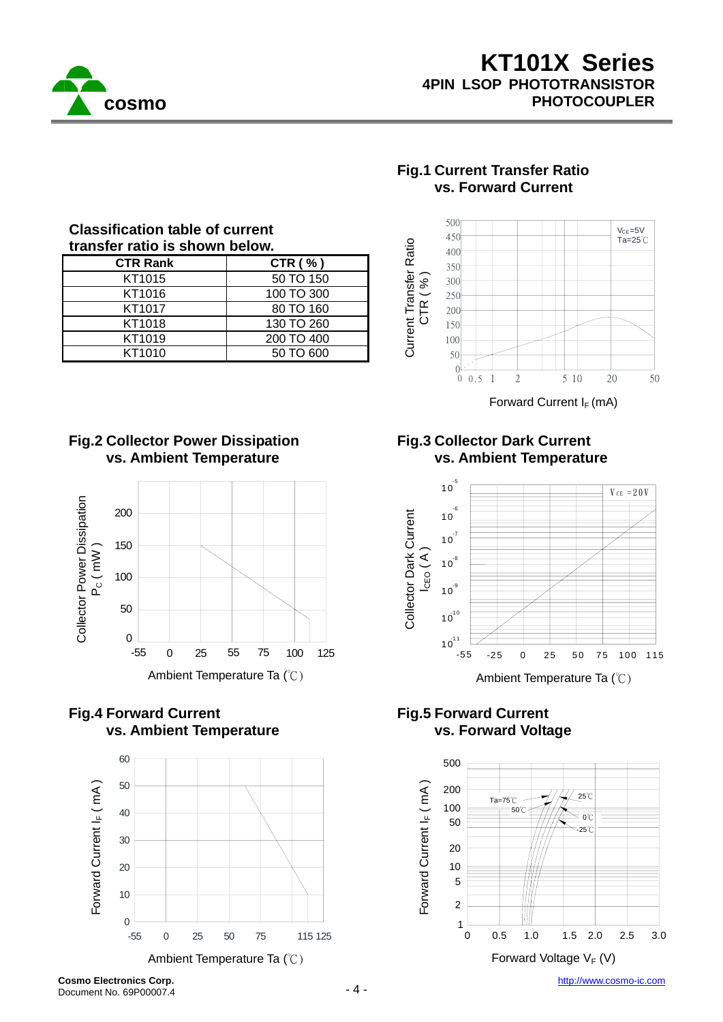

| ondoon loquion tabio ol odhi ohit |            |                  |  |  |
|-----------------------------------|------------|------------------|--|--|
| transfer ratio is shown below.    |            |                  |  |  |
| <b>CTR Rank</b>                   | CTR $( %)$ | Ratio            |  |  |
| KT1015                            | 50 TO 150  | Current Transfer |  |  |
| KT1016                            | 100 TO 300 |                  |  |  |
| KT1017                            | 80 TO 160  |                  |  |  |
| KT1018                            | 130 TO 260 |                  |  |  |
| KT1019                            | 200 TO 400 |                  |  |  |
| KT1010                            | 50 TO 600  |                  |  |  |
|                                   |            |                  |  |  |

# **Classification table of current**



#### **Fig.2 Collector Power Dissipation vs. Ambient Temperature**



## **Fig.4 Forward Current vs. Ambient Temperature**



**Fig.3 Collector Dark Current vs. Ambient Temperature** 

**Fig.1 Current Transfer Ratio vs. Forward Current** 



#### **Fig.5 Forward Current vs. Forward Voltage**

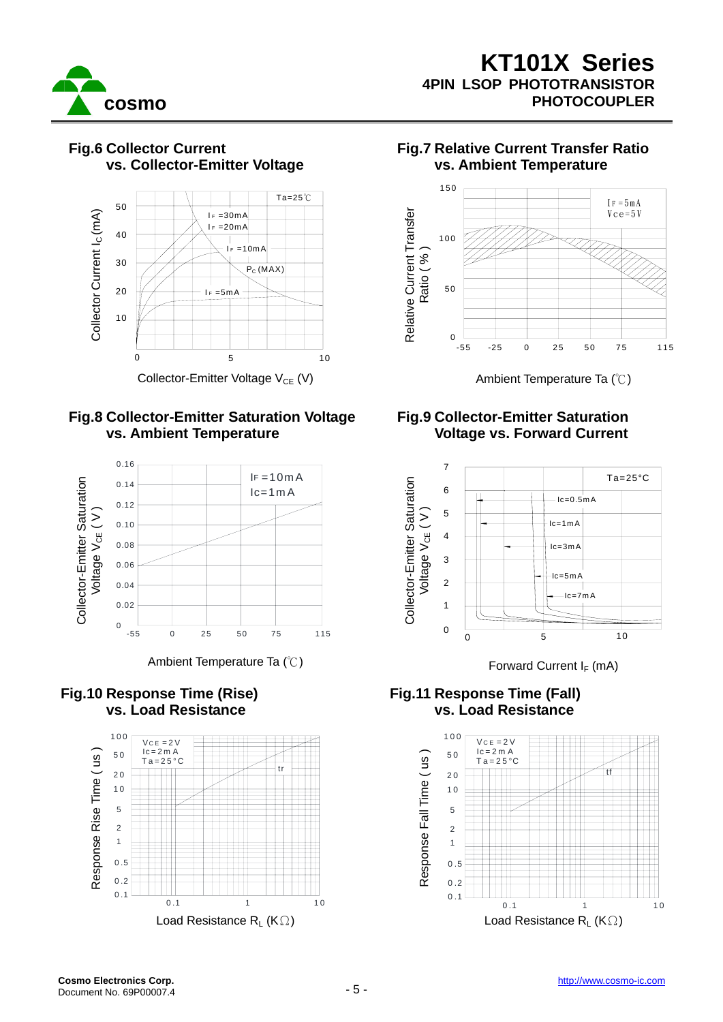





#### **Fig.8 Collector-Emitter Saturation Voltage vs. Ambient Temperature**



Ambient Temperature Ta  $(\degree C)$  Forward Current I<sub>F</sub> (mA)

### **Fig.10 Response Time (Rise) vs. Load Resistance**



### **Fig.7 Relative Current Transfer Ratio vs. Ambient Temperature**



## **Fig.9 Collector-Emitter Saturation Voltage vs. Forward Current**



### **Fig.11 Response Time (Fall) vs. Load Resistance**

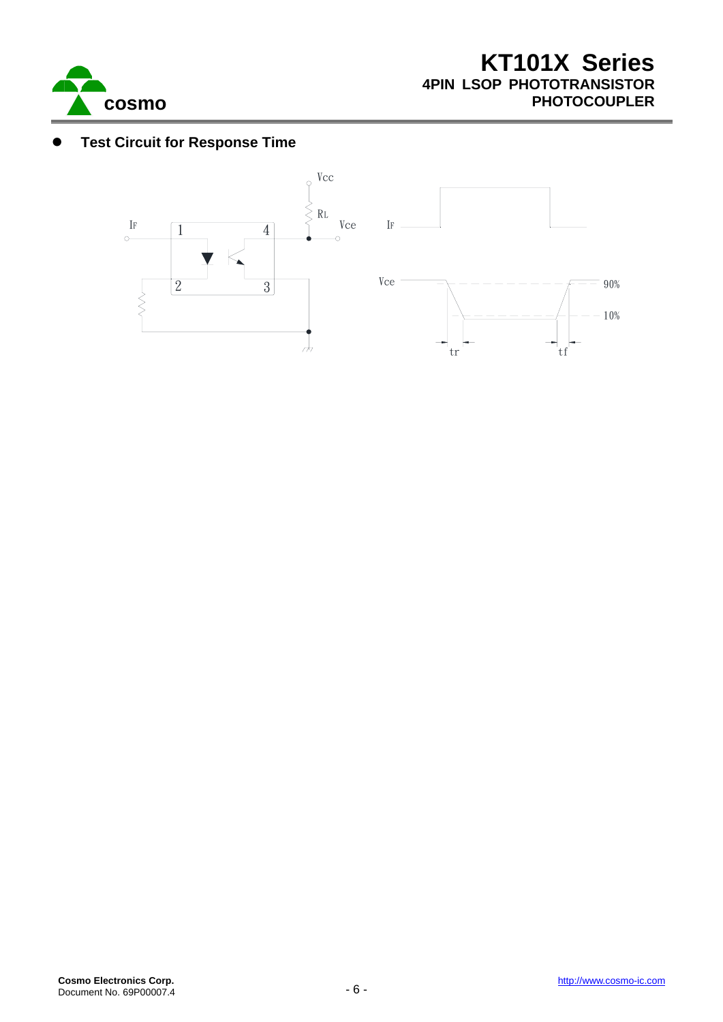

## **Test Circuit for Response Time**

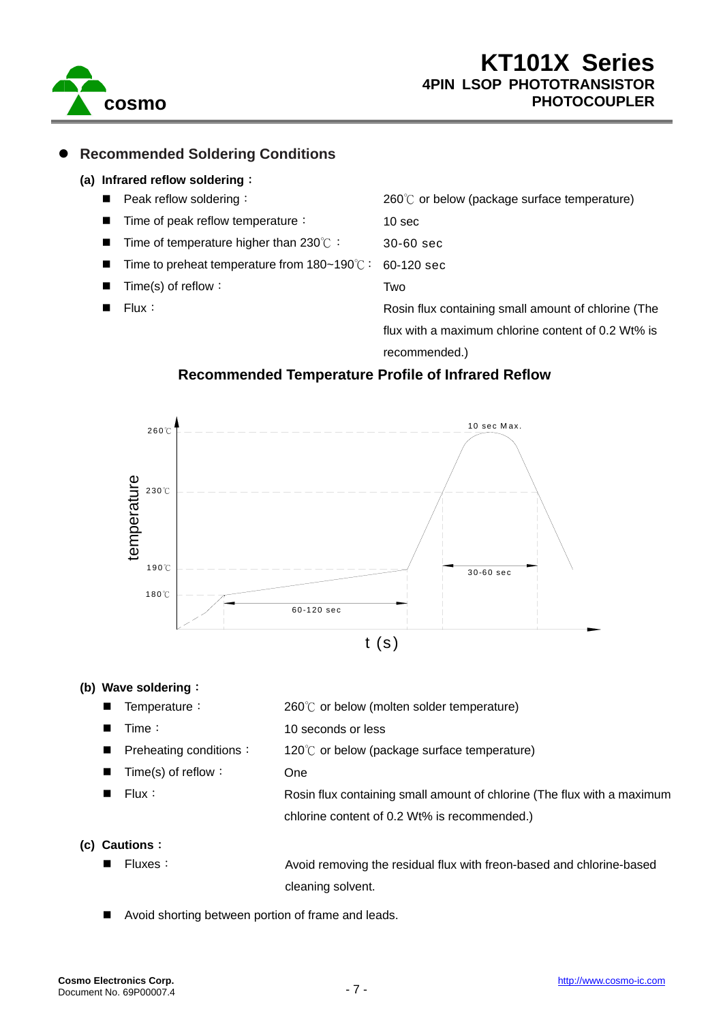

#### z **Recommended Soldering Conditions**

#### **(a) Infrared reflow soldering**:

Peak reflow soldering: Time of peak reflow temperature: Time of temperature higher than 230℃: Time to preheat temperature from 180~190℃: Time(s) of reflow: Flux: 260℃ or below (package surface temperature) 10 sec 30-60 sec 60-120 sec Two Rosin flux containing small amount of chlorine (The flux with a maximum chlorine content of 0.2 Wt% is

recommended.)

#### **Recommended Temperature Profile of Infrared Reflow**



#### **(b) Wave soldering**:

- Temperature:
- Time:
	-
- Preheating conditions:
- Time(s) of reflow:
- Flux:
- 260℃ or below (molten solder temperature)
- 10 seconds or less
	- 120℃ or below (package surface temperature)
	- One
- Rosin flux containing small amount of chlorine (The flux with a maximum chlorine content of 0.2 Wt% is recommended.)

#### **(c) Cautions**:

Fluxes: Avoid removing the residual flux with freon-based and chlorine-based cleaning solvent.

Avoid shorting between portion of frame and leads.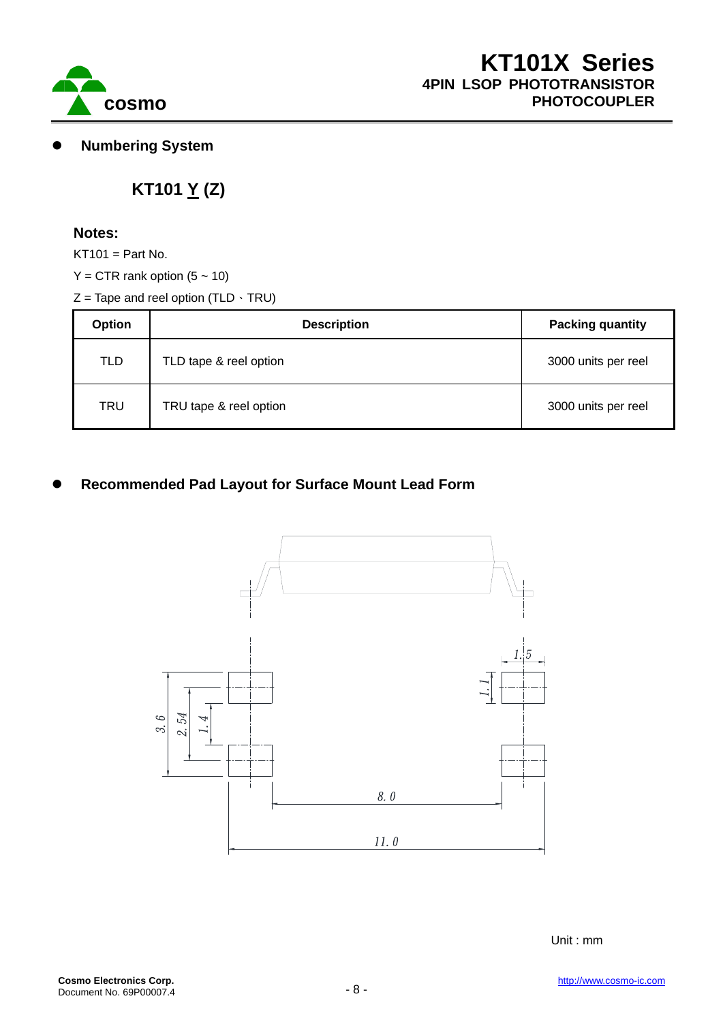

**Numbering System** 

# **KT101 Y (Z)**

#### **Notes:**

 $KT101 = Part No.$ 

- $Y = CTR$  rank option  $(5 \sim 10)$
- $Z =$  Tape and reel option (TLD  $\cdot$  TRU)

| <b>Option</b> | <b>Description</b>     | <b>Packing quantity</b> |  |
|---------------|------------------------|-------------------------|--|
| <b>TLD</b>    | TLD tape & reel option | 3000 units per reel     |  |
| TRU           | TRU tape & reel option | 3000 units per reel     |  |

## **Recommended Pad Layout for Surface Mount Lead Form**



Unit : mm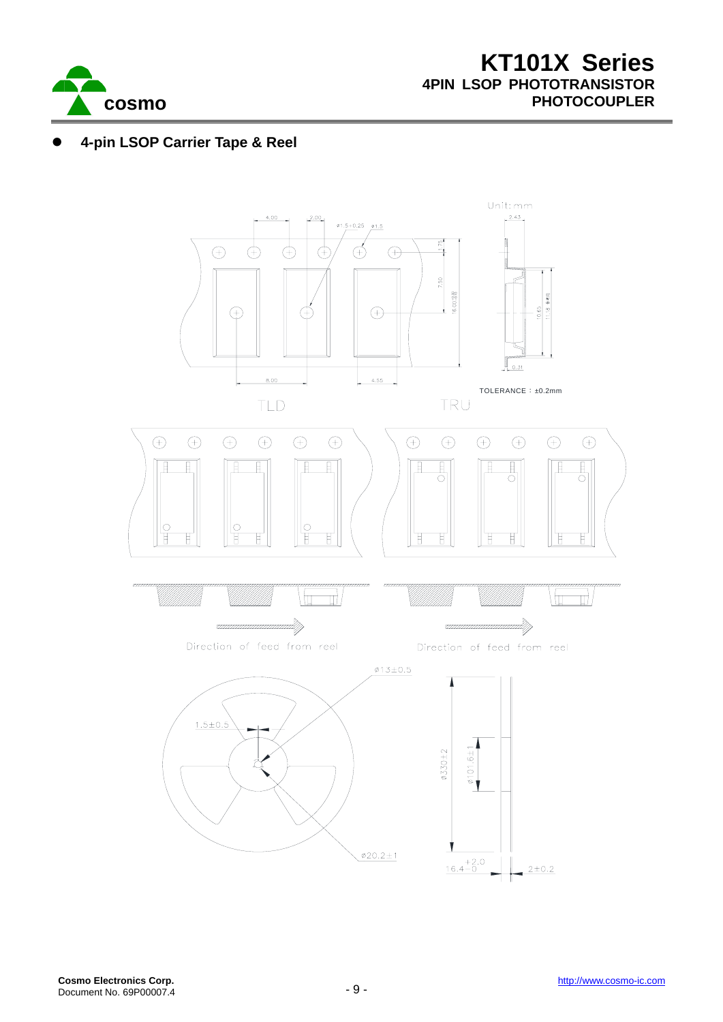

## z **4-pin LSOP Carrier Tape & Reel**